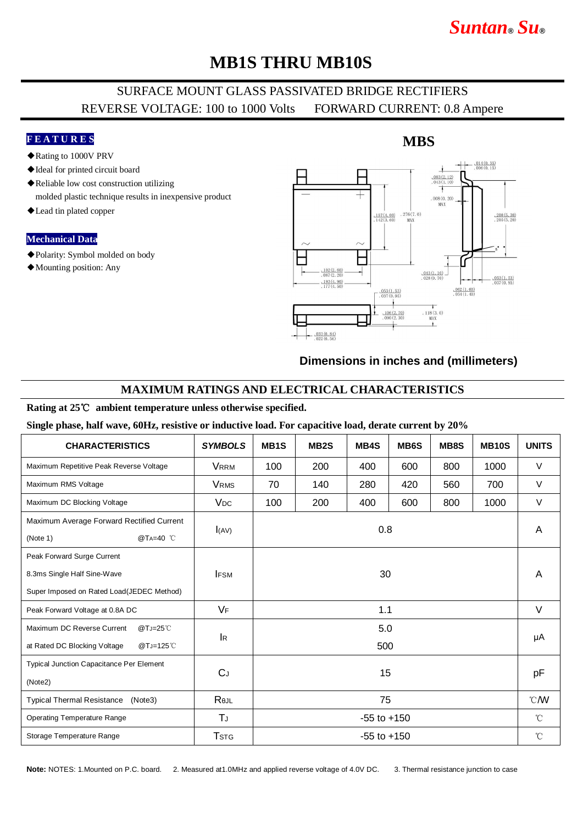# *Suntan***®** *Su***®**

### **MB1S THRU MB10S**

### SURFACE MOUNT GLASS PASSIVATED BRIDGE RECTIFIERS REVERSE VOLTAGE: 100 to 1000 Volts FORWARD CURRENT: 0.8 Ampere

#### **F E A T U R E S**

- ◆Rating to 1000V PRV
- ◆Ideal for printed circuit board
- ◆Reliable low cost construction utilizing molded plastic technique results in inexpensive product
- ◆Lead tin plated copper

#### **Mechanical Data**

- ◆Polarity: Symbol molded on body
- ◆Mounting position: Any



#### **Dimensions in inches and (millimeters)**

#### **MAXIMUM RATINGS AND ELECTRICAL CHARACTERISTICS**

#### **Rating at 25**℃ **ambient temperature unless otherwise specified.**

**Single phase, half wave, 60Hz, resistive or inductive load. For capacitive load, derate current by 20%**

| <b>CHARACTERISTICS</b>                                                                                 | <b>SYMBOLS</b>          | MB <sub>1</sub> S | MB <sub>2</sub> S | MB4S | MB <sub>6</sub> S | MB8S | <b>MB10S</b> | <b>UNITS</b>     |
|--------------------------------------------------------------------------------------------------------|-------------------------|-------------------|-------------------|------|-------------------|------|--------------|------------------|
| Maximum Repetitive Peak Reverse Voltage                                                                | <b>VRRM</b>             | 100               | 200               | 400  | 600               | 800  | 1000         | $\vee$           |
| Maximum RMS Voltage                                                                                    | <b>VRMS</b>             | 70                | 140               | 280  | 420               | 560  | 700          | $\vee$           |
| Maximum DC Blocking Voltage                                                                            | <b>V<sub>DC</sub></b>   | 100               | 200               | 400  | 600               | 800  | 1000         | $\vee$           |
| Maximum Average Forward Rectified Current<br>@TA=40 °C<br>(Note 1)                                     | I(AV)                   | 0.8               |                   |      |                   |      |              | A                |
| Peak Forward Surge Current<br>8.3ms Single Half Sine-Wave<br>Super Imposed on Rated Load(JEDEC Method) | <b>IFSM</b>             | 30                |                   |      |                   |      |              | A                |
| Peak Forward Voltage at 0.8A DC                                                                        | VF                      | 1.1               |                   |      |                   |      |              | $\vee$           |
| Maximum DC Reverse Current<br>@TJ=25°C<br>at Rated DC Blocking Voltage<br>@TJ=125℃                     | lR.                     | 5.0<br>500        |                   |      |                   |      |              | μA               |
| <b>Typical Junction Capacitance Per Element</b><br>(Note2)                                             | C <sub>J</sub>          | 15                |                   |      |                   |      |              | pF               |
| <b>Typical Thermal Resistance</b><br>(Note3)                                                           | ReJL                    | 75                |                   |      |                   |      |              | $\mathcal{C}$ MV |
| <b>Operating Temperature Range</b>                                                                     | TJ                      | $-55$ to $+150$   |                   |      |                   |      |              | $^{\circ}$ C     |
| Storage Temperature Range                                                                              | <b>T</b> <sub>STG</sub> | $-55$ to $+150$   |                   |      |                   |      |              | $^{\circ}$ C     |

#### Note: NOTES: 1.Mounted on P.C. board. 2. Measured at1.0MHz and applied reverse voltage of 4.0V DC. 3. Thermal resistance junction to case

#### **MBS**